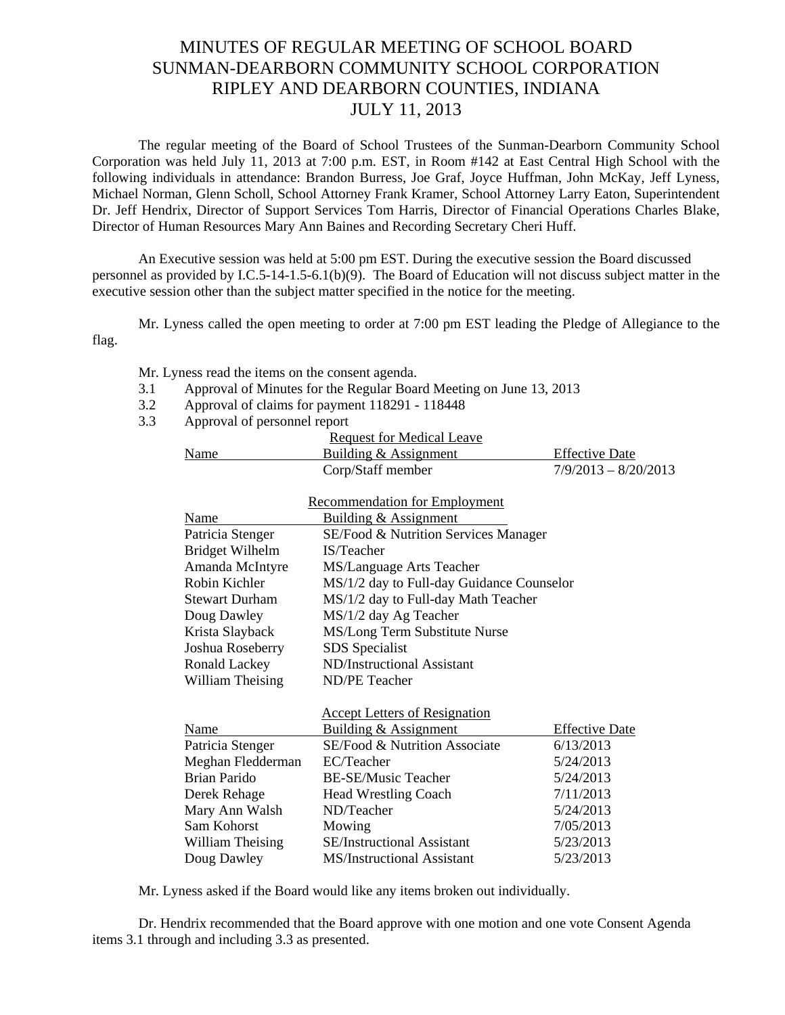## MINUTES OF REGULAR MEETING OF SCHOOL BOARD SUNMAN-DEARBORN COMMUNITY SCHOOL CORPORATION RIPLEY AND DEARBORN COUNTIES, INDIANA JULY 11, 2013

The regular meeting of the Board of School Trustees of the Sunman-Dearborn Community School Corporation was held July 11, 2013 at 7:00 p.m. EST, in Room #142 at East Central High School with the following individuals in attendance: Brandon Burress, Joe Graf, Joyce Huffman, John McKay, Jeff Lyness, Michael Norman, Glenn Scholl, School Attorney Frank Kramer, School Attorney Larry Eaton, Superintendent Dr. Jeff Hendrix, Director of Support Services Tom Harris, Director of Financial Operations Charles Blake, Director of Human Resources Mary Ann Baines and Recording Secretary Cheri Huff.

 An Executive session was held at 5:00 pm EST. During the executive session the Board discussed personnel as provided by I.C.5-14-1.5-6.1(b)(9). The Board of Education will not discuss subject matter in the executive session other than the subject matter specified in the notice for the meeting.

 Mr. Lyness called the open meeting to order at 7:00 pm EST leading the Pledge of Allegiance to the flag.

Mr. Lyness read the items on the consent agenda.

- 3.1 Approval of Minutes for the Regular Board Meeting on June 13, 2013
- 3.2 Approval of claims for payment 118291 118448
- 3.3 Approval of personnel report

|                        | <b>Request for Medical Leave</b>          |                        |
|------------------------|-------------------------------------------|------------------------|
| Name                   | Building & Assignment                     | <b>Effective Date</b>  |
|                        | Corp/Staff member                         | $7/9/2013 - 8/20/2013$ |
|                        |                                           |                        |
|                        | <b>Recommendation for Employment</b>      |                        |
| Name                   | Building & Assignment                     |                        |
| Patricia Stenger       | SE/Food & Nutrition Services Manager      |                        |
| <b>Bridget Wilhelm</b> | IS/Teacher                                |                        |
| Amanda McIntyre        | MS/Language Arts Teacher                  |                        |
| Robin Kichler          | MS/1/2 day to Full-day Guidance Counselor |                        |
| <b>Stewart Durham</b>  | MS/1/2 day to Full-day Math Teacher       |                        |
| Doug Dawley            | MS/1/2 day Ag Teacher                     |                        |
| Krista Slayback        | MS/Long Term Substitute Nurse             |                        |
| Joshua Roseberry       | SDS Specialist                            |                        |
| Ronald Lackey          | ND/Instructional Assistant                |                        |
| William Theising       | ND/PE Teacher                             |                        |
|                        |                                           |                        |
|                        | <b>Accept Letters of Resignation</b>      |                        |
| Name                   | Building & Assignment                     | <b>Effective Date</b>  |
| Patricia Stenger       | SE/Food & Nutrition Associate             | 6/13/2013              |
| Meghan Fledderman      | EC/Teacher                                | 5/24/2013              |
| <b>Brian Parido</b>    | <b>BE-SE/Music Teacher</b>                | 5/24/2013              |
| Derek Rehage           | <b>Head Wrestling Coach</b>               | 7/11/2013              |
| Mary Ann Walsh         | ND/Teacher                                | 5/24/2013              |
| Sam Kohorst            | Mowing                                    | 7/05/2013              |
| William Theising       | SE/Instructional Assistant                | 5/23/2013              |
| Doug Dawley            | <b>MS/Instructional Assistant</b>         | 5/23/2013              |

Mr. Lyness asked if the Board would like any items broken out individually.

Dr. Hendrix recommended that the Board approve with one motion and one vote Consent Agenda items 3.1 through and including 3.3 as presented.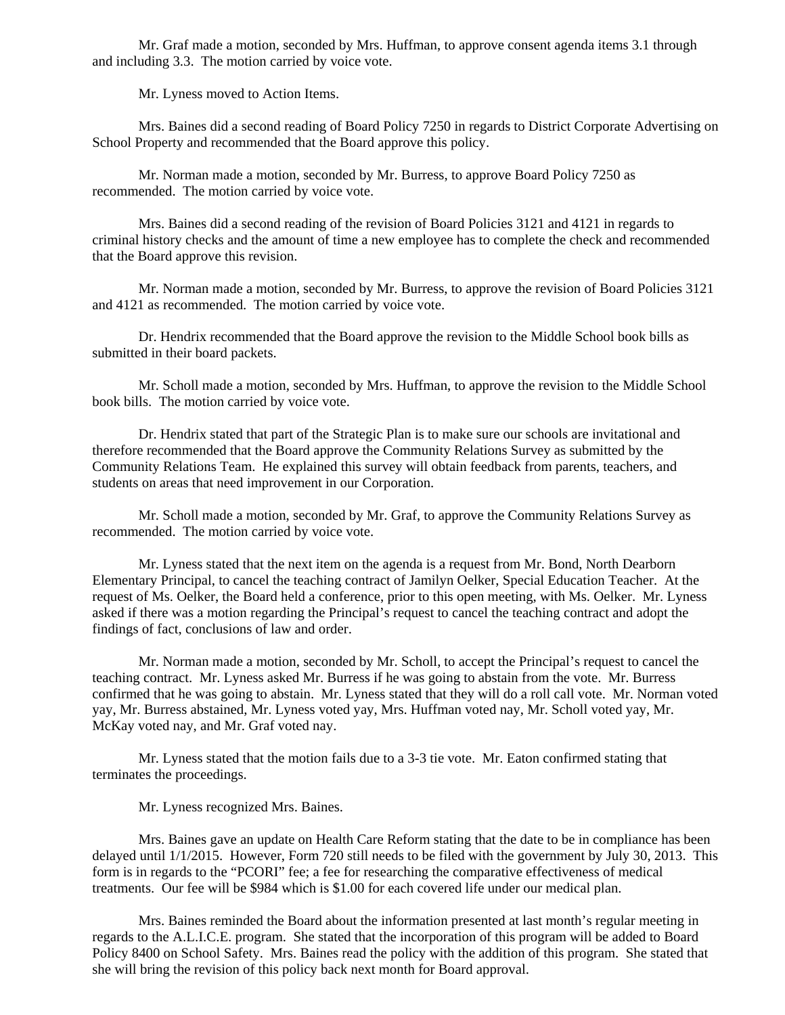Mr. Graf made a motion, seconded by Mrs. Huffman, to approve consent agenda items 3.1 through and including 3.3. The motion carried by voice vote.

Mr. Lyness moved to Action Items.

 Mrs. Baines did a second reading of Board Policy 7250 in regards to District Corporate Advertising on School Property and recommended that the Board approve this policy.

 Mr. Norman made a motion, seconded by Mr. Burress, to approve Board Policy 7250 as recommended. The motion carried by voice vote.

Mrs. Baines did a second reading of the revision of Board Policies 3121 and 4121 in regards to criminal history checks and the amount of time a new employee has to complete the check and recommended that the Board approve this revision.

Mr. Norman made a motion, seconded by Mr. Burress, to approve the revision of Board Policies 3121 and 4121 as recommended. The motion carried by voice vote.

Dr. Hendrix recommended that the Board approve the revision to the Middle School book bills as submitted in their board packets.

Mr. Scholl made a motion, seconded by Mrs. Huffman, to approve the revision to the Middle School book bills. The motion carried by voice vote.

Dr. Hendrix stated that part of the Strategic Plan is to make sure our schools are invitational and therefore recommended that the Board approve the Community Relations Survey as submitted by the Community Relations Team. He explained this survey will obtain feedback from parents, teachers, and students on areas that need improvement in our Corporation.

 Mr. Scholl made a motion, seconded by Mr. Graf, to approve the Community Relations Survey as recommended. The motion carried by voice vote.

Mr. Lyness stated that the next item on the agenda is a request from Mr. Bond, North Dearborn Elementary Principal, to cancel the teaching contract of Jamilyn Oelker, Special Education Teacher. At the request of Ms. Oelker, the Board held a conference, prior to this open meeting, with Ms. Oelker. Mr. Lyness asked if there was a motion regarding the Principal's request to cancel the teaching contract and adopt the findings of fact, conclusions of law and order.

Mr. Norman made a motion, seconded by Mr. Scholl, to accept the Principal's request to cancel the teaching contract. Mr. Lyness asked Mr. Burress if he was going to abstain from the vote. Mr. Burress confirmed that he was going to abstain. Mr. Lyness stated that they will do a roll call vote. Mr. Norman voted yay, Mr. Burress abstained, Mr. Lyness voted yay, Mrs. Huffman voted nay, Mr. Scholl voted yay, Mr. McKay voted nay, and Mr. Graf voted nay.

Mr. Lyness stated that the motion fails due to a 3-3 tie vote. Mr. Eaton confirmed stating that terminates the proceedings.

Mr. Lyness recognized Mrs. Baines.

Mrs. Baines gave an update on Health Care Reform stating that the date to be in compliance has been delayed until 1/1/2015. However, Form 720 still needs to be filed with the government by July 30, 2013. This form is in regards to the "PCORI" fee; a fee for researching the comparative effectiveness of medical treatments. Our fee will be \$984 which is \$1.00 for each covered life under our medical plan.

Mrs. Baines reminded the Board about the information presented at last month's regular meeting in regards to the A.L.I.C.E. program. She stated that the incorporation of this program will be added to Board Policy 8400 on School Safety. Mrs. Baines read the policy with the addition of this program. She stated that she will bring the revision of this policy back next month for Board approval.